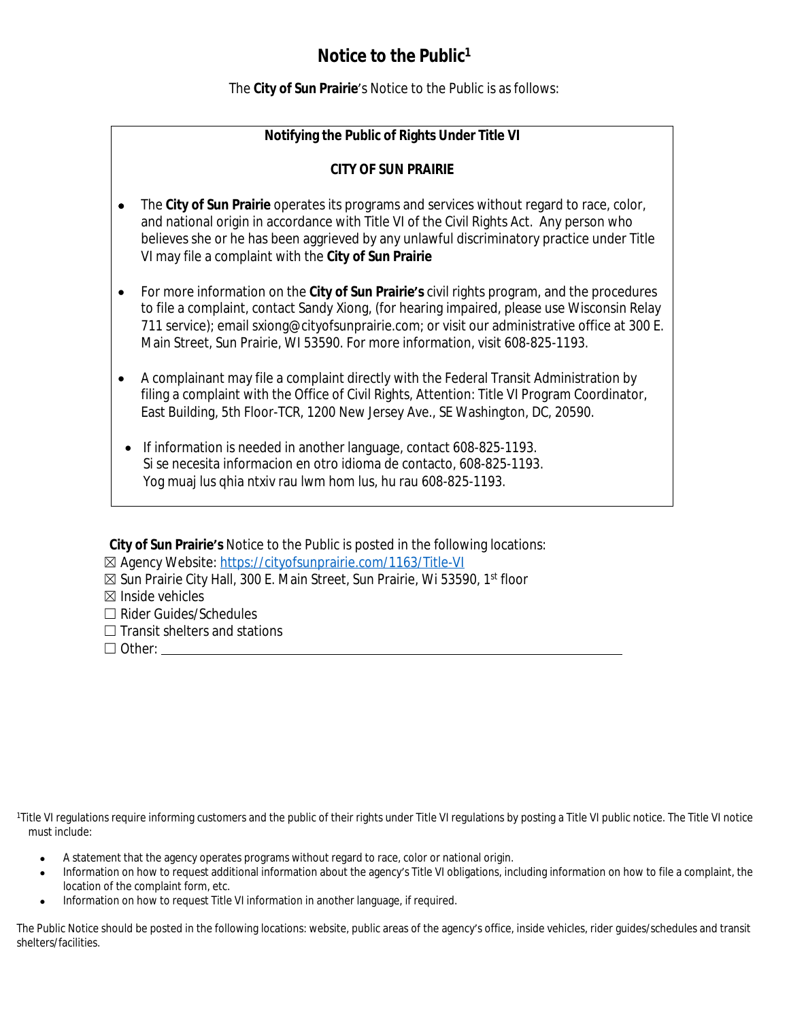## **Notice to the Public<sup>1</sup>**

The **City of Sun Prairie**'s Notice to the Public is as follows:

### **Notifying the Public of Rights Under Title VI**

#### **CITY OF SUN PRAIRIE**

- The **City of Sun Prairie** operates its programs and services without regard to race, color, and national origin in accordance with Title VI of the Civil Rights Act. Any person who believes she or he has been aggrieved by any unlawful discriminatory practice under Title VI may file a complaint with the **City of Sun Prairie**
- For more information on the **City of Sun Prairie's** civil rights program, and the procedures to file a complaint, contact Sandy Xiong, (for hearing impaired, please use Wisconsin Relay 711 service); email sxiong@cityofsunprairie.com; or visit our administrative office at 300 E. Main Street, Sun Prairie, WI 53590. For more information, visit 608-825-1193.
- A complainant may file a complaint directly with the Federal Transit Administration by filing a complaint with the Office of Civil Rights, Attention: Title VI Program Coordinator, East Building, 5th Floor-TCR, 1200 New Jersey Ave., SE Washington, DC, 20590.
- If information is needed in another language, contact 608-825-1193. Si se necesita informacion en otro idioma de contacto, 608-825-1193. Yog muaj lus qhia ntxiv rau lwm hom lus, hu rau 608-825-1193.

**City of Sun Prairie's** Notice to the Public is posted in the following locations:

- ☒ Sun Prairie City Hall, 300 E. Main Street, Sun Prairie, Wi 53590, 1st floor
- ☒ Inside vehicles
- ☐ Rider Guides/Schedules
- $\Box$  Transit shelters and stations
- ☐ Other:

<sup>1</sup>Title VI requlations require informing customers and the public of their rights under Title VI requlations by posting a Title VI public notice. The Title VI notice must include:

- A statement that the agency operates programs without regard to race, color or national origin.
- Information on how to request additional information about the agency's Title VI obligations, including information on how to file a complaint, the location of the complaint form, etc.
- Information on how to request Title VI information in another language, if required.

The Public Notice should be posted in the following locations: website, public areas of the agency's office, inside vehicles, rider guides/schedules and transit shelters/facilities.

<sup>☒</sup> Agency Website: <https://cityofsunprairie.com/1163/Title-VI>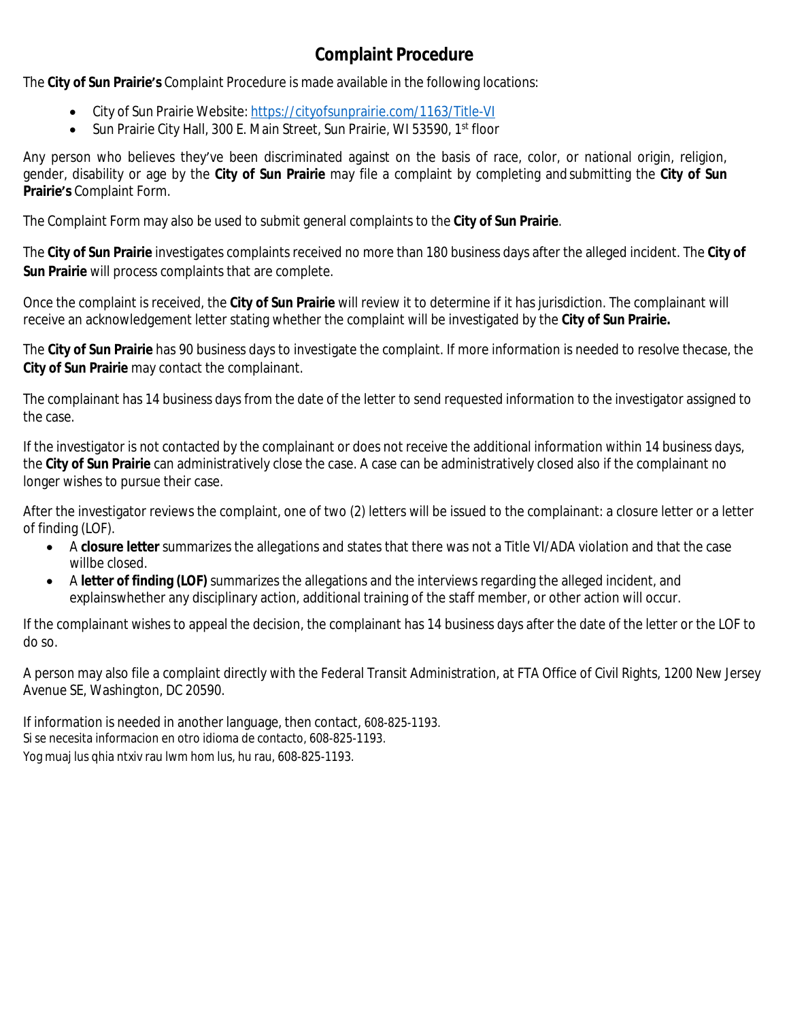# **Complaint Procedure**

The **City of Sun Prairie's** Complaint Procedure is made available in the following locations:

- City of Sun Prairie Website: <https://cityofsunprairie.com/1163/Title-VI>
- Sun Prairie City Hall, 300 E. Main Street, Sun Prairie, WI 53590, 1st floor

Any person who believes they've been discriminated against on the basis of race, color, or national origin, religion, gender, disability or age by the **City of Sun Prairie** may file a complaint by completing and submitting the **City of Sun Prairie's** Complaint Form.

The Complaint Form may also be used to submit general complaints to the **City of Sun Prairie**.

The **City of Sun Prairie** investigates complaints received no more than 180 business days after the alleged incident. The **City of Sun Prairie** will process complaints that are complete.

Once the complaint is received, the **City of Sun Prairie** will review it to determine if it has jurisdiction. The complainant will receive an acknowledgement letter stating whether the complaint will be investigated by the **City of Sun Prairie.**

The **City of Sun Prairie** has 90 business days to investigate the complaint. If more information is needed to resolve thecase, the **City of Sun Prairie** may contact the complainant.

The complainant has 14 business days from the date of the letter to send requested information to the investigator assigned to the case.

If the investigator is not contacted by the complainant or does not receive the additional information within 14 business days, the **City of Sun Prairie** can administratively close the case. A case can be administratively closed also if the complainant no longer wishes to pursue their case.

After the investigator reviews the complaint, one of two (2) letters will be issued to the complainant: a closure letter or a letter of finding (LOF).

- A **closure letter** summarizes the allegations and states that there was not a Title VI/ADA violation and that the case willbe closed.
- A **letter of finding (LOF)** summarizes the allegations and the interviews regarding the alleged incident, and explainswhether any disciplinary action, additional training of the staff member, or other action will occur.

If the complainant wishes to appeal the decision, the complainant has 14 business days after the date of the letter or the LOF to do so.

A person may also file a complaint directly with the Federal Transit Administration, at FTA Office of Civil Rights, 1200 New Jersey Avenue SE, Washington, DC 20590.

If information is needed in another language, then contact, 608-825-1193. Si se necesita informacion en otro idioma de contacto, 608-825-1193. Yog muaj lus qhia ntxiv rau lwm hom lus, hu rau, 608-825-1193.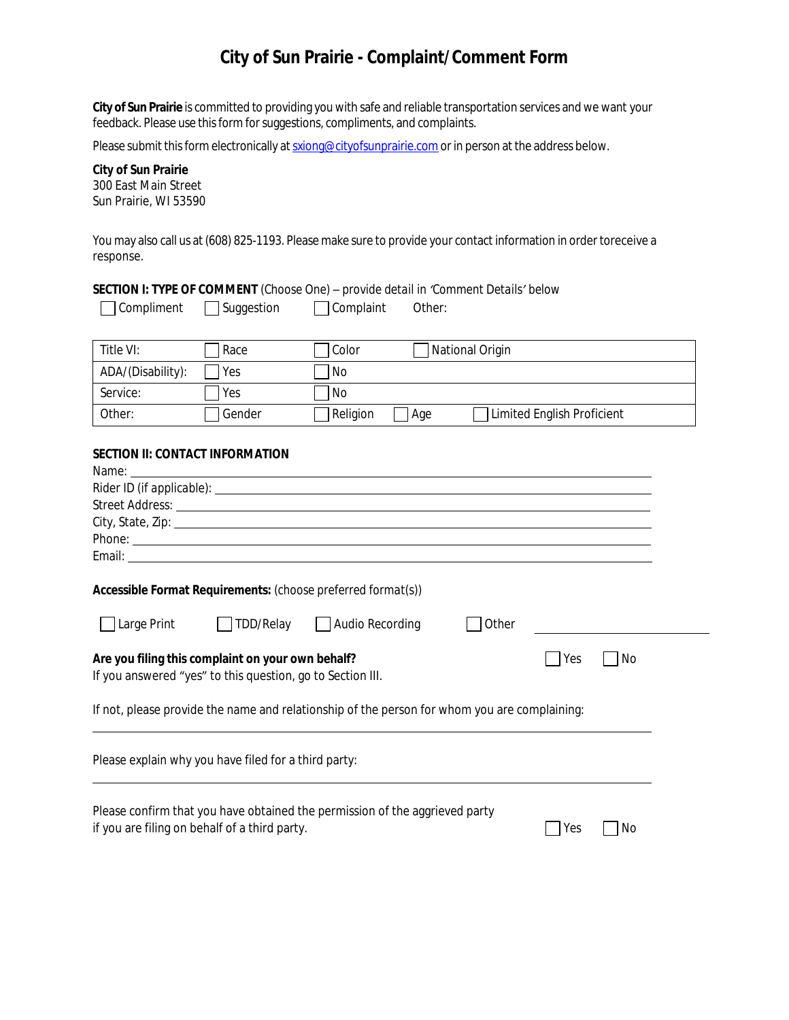## **City of Sun Prairie - Complaint/Comment Form**

**City of Sun Prairie** is committed to providing you with safe and reliable transportation services and we want your feedback. Please use this form for suggestions, compliments, and complaints.

Please submit this form electronically at [sxiong@cityofsunprairie.com](mailto:sxiong@cityofsunprairie.com) or in person at the address below.

**City of Sun Prairie** 300 East Main Street Sun Prairie, WI 53590

You may also call us at (608) 825-1193. Please make sure to provide your contact information in order toreceive a response.

| Compliment                                                                                                                                                                                                                          | Suggestion                                    | Complaint<br>Other:                                                                      |  |  |  |  |  |
|-------------------------------------------------------------------------------------------------------------------------------------------------------------------------------------------------------------------------------------|-----------------------------------------------|------------------------------------------------------------------------------------------|--|--|--|--|--|
| Title VI:                                                                                                                                                                                                                           | Race                                          | National Origin<br>Color                                                                 |  |  |  |  |  |
| ADA/(Disability):                                                                                                                                                                                                                   | Yes                                           | No                                                                                       |  |  |  |  |  |
| Service:                                                                                                                                                                                                                            | Yes                                           | No.                                                                                      |  |  |  |  |  |
| Other:                                                                                                                                                                                                                              | Gender                                        | Age<br>Limited English Proficient<br>Religion                                            |  |  |  |  |  |
| <b>SECTION II: CONTACT INFORMATION</b><br>Name:<br>and the control of the control of the control of the control of the control of the control of the control of the<br>Accessible Format Requirements: (choose preferred format(s)) |                                               |                                                                                          |  |  |  |  |  |
| Large Print                                                                                                                                                                                                                         | TDD/Relay                                     | Audio Recording<br>Other                                                                 |  |  |  |  |  |
|                                                                                                                                                                                                                                     |                                               |                                                                                          |  |  |  |  |  |
| Are you filing this complaint on your own behalf?<br>Yes<br>No<br>If you answered "yes" to this question, go to Section III.                                                                                                        |                                               |                                                                                          |  |  |  |  |  |
| If not, please provide the name and relationship of the person for whom you are complaining:                                                                                                                                        |                                               |                                                                                          |  |  |  |  |  |
| Please explain why you have filed for a third party:                                                                                                                                                                                |                                               |                                                                                          |  |  |  |  |  |
|                                                                                                                                                                                                                                     | if you are filing on behalf of a third party. | Please confirm that you have obtained the permission of the aggrieved party<br>Yes<br>No |  |  |  |  |  |